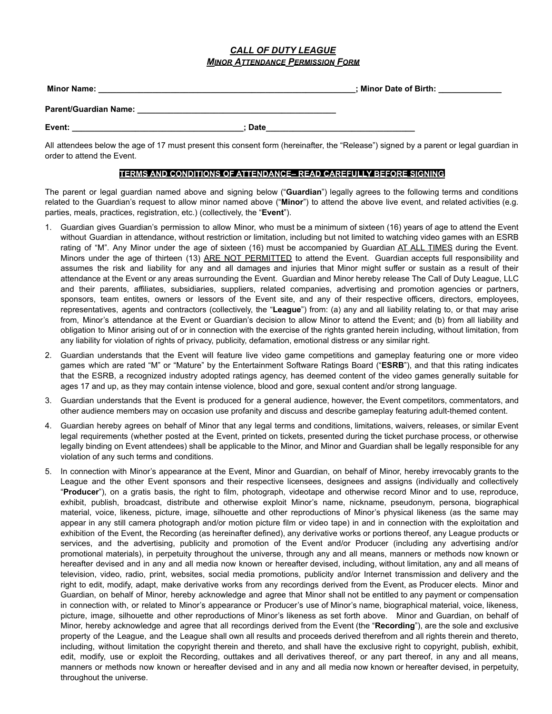## *CALL OF DUTY LEAGUE MINOR ATTENDANCE PERMISSION FORM*

| <b>Minor Name:</b>    |             | : Minor Date of Birth: |
|-----------------------|-------------|------------------------|
| Parent/Guardian Name: |             |                        |
| Event:                | <b>Date</b> |                        |

All attendees below the age of 17 must present this consent form (hereinafter, the "Release") signed by a parent or legal guardian in order to attend the Event.

## **TERMS AND CONDITIONS OF ATTENDANCE– READ CAREFULLY BEFORE SIGNING**

The parent or legal guardian named above and signing below ("**Guardian**") legally agrees to the following terms and conditions related to the Guardian's request to allow minor named above ("**Minor**") to attend the above live event, and related activities (e.g. parties, meals, practices, registration, etc.) (collectively, the "**Event**").

- 1. Guardian gives Guardian's permission to allow Minor, who must be a minimum of sixteen (16) years of age to attend the Event without Guardian in attendance, without restriction or limitation, including but not limited to watching video games with an ESRB rating of "M". Any Minor under the age of sixteen (16) must be accompanied by Guardian AT ALL TIMES during the Event. Minors under the age of thirteen (13) ARE NOT PERMITTED to attend the Event. Guardian accepts full responsibility and assumes the risk and liability for any and all damages and injuries that Minor might suffer or sustain as a result of their attendance at the Event or any areas surrounding the Event. Guardian and Minor hereby release The Call of Duty League, LLC and their parents, affiliates, subsidiaries, suppliers, related companies, advertising and promotion agencies or partners, sponsors, team entites, owners or lessors of the Event site, and any of their respective officers, directors, employees, representatives, agents and contractors (collectively, the "**League**") from: (a) any and all liability relating to, or that may arise from, Minor's attendance at the Event or Guardian's decision to allow Minor to attend the Event; and (b) from all liability and obligation to Minor arising out of or in connection with the exercise of the rights granted herein including, without limitation, from any liability for violation of rights of privacy, publicity, defamation, emotional distress or any similar right.
- 2. Guardian understands that the Event will feature live video game competitions and gameplay featuring one or more video games which are rated "M" or "Mature" by the Entertainment Software Ratings Board ("**ESRB**"), and that this rating indicates that the ESRB, a recognized industry adopted ratings agency, has deemed content of the video games generally suitable for ages 17 and up, as they may contain intense violence, blood and gore, sexual content and/or strong language.
- 3. Guardian understands that the Event is produced for a general audience, however, the Event competitors, commentators, and other audience members may on occasion use profanity and discuss and describe gameplay featuring adult-themed content.
- 4. Guardian hereby agrees on behalf of Minor that any legal terms and conditions, limitations, waivers, releases, or similar Event legal requirements (whether posted at the Event, printed on tickets, presented during the ticket purchase process, or otherwise legally binding on Event attendees) shall be applicable to the Minor, and Minor and Guardian shall be legally responsible for any violation of any such terms and conditions.
- 5. In connection with Minor's appearance at the Event, Minor and Guardian, on behalf of Minor, hereby irrevocably grants to the League and the other Event sponsors and their respective licensees, designees and assigns (individually and collectively "**Producer**"), on a gratis basis, the right to film, photograph, videotape and otherwise record Minor and to use, reproduce, exhibit, publish, broadcast, distribute and otherwise exploit Minor's name, nickname, pseudonym, persona, biographical material, voice, likeness, picture, image, silhouette and other reproductions of Minor's physical likeness (as the same may appear in any still camera photograph and/or motion picture film or video tape) in and in connection with the exploitation and exhibition of the Event, the Recording (as hereinafter defined), any derivative works or portions thereof, any League products or services, and the advertising, publicity and promotion of the Event and/or Producer (including any advertising and/or promotional materials), in perpetuity throughout the universe, through any and all means, manners or methods now known or hereafter devised and in any and all media now known or hereafter devised, including, without limitation, any and all means of television, video, radio, print, websites, social media promotions, publicity and/or Internet transmission and delivery and the right to edit, modify, adapt, make derivative works from any recordings derived from the Event, as Producer elects. Minor and Guardian, on behalf of Minor, hereby acknowledge and agree that Minor shall not be entitled to any payment or compensation in connection with, or related to Minor's appearance or Producer's use of Minor's name, biographical material, voice, likeness, picture, image, silhouette and other reproductions of Minor's likeness as set forth above. Minor and Guardian, on behalf of Minor, hereby acknowledge and agree that all recordings derived from the Event (the "**Recording**"), are the sole and exclusive property of the League, and the League shall own all results and proceeds derived therefrom and all rights therein and thereto, including, without limitation the copyright therein and thereto, and shall have the exclusive right to copyright, publish, exhibit, edit, modify, use or exploit the Recording, outtakes and all derivatives thereof, or any part thereof, in any and all means, manners or methods now known or hereafter devised and in any and all media now known or hereafter devised, in perpetuity, throughout the universe.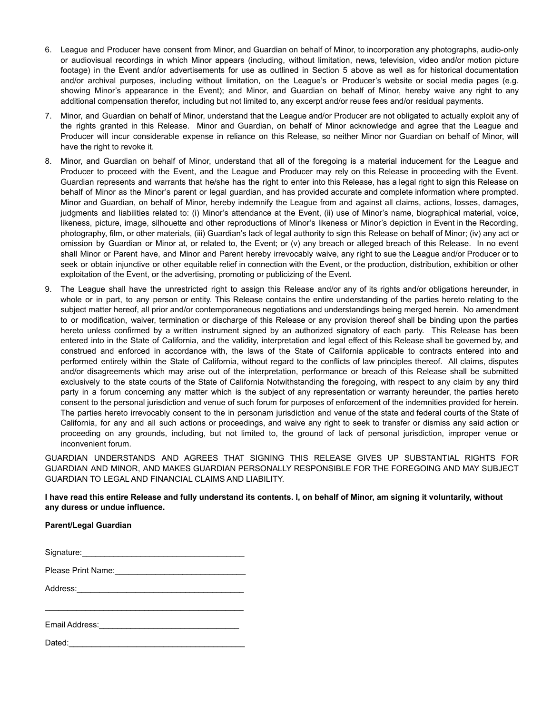- 6. League and Producer have consent from Minor, and Guardian on behalf of Minor, to incorporation any photographs, audio-only or audiovisual recordings in which Minor appears (including, without limitation, news, television, video and/or motion picture footage) in the Event and/or advertisements for use as outlined in Section 5 above as well as for historical documentation and/or archival purposes, including without limitation, on the League's or Producer's website or social media pages (e.g. showing Minor's appearance in the Event); and Minor, and Guardian on behalf of Minor, hereby waive any right to any additional compensation therefor, including but not limited to, any excerpt and/or reuse fees and/or residual payments.
- 7. Minor, and Guardian on behalf of Minor, understand that the League and/or Producer are not obligated to actually exploit any of the rights granted in this Release. Minor and Guardian, on behalf of Minor acknowledge and agree that the League and Producer will incur considerable expense in reliance on this Release, so neither Minor nor Guardian on behalf of Minor, will have the right to revoke it.
- 8. Minor, and Guardian on behalf of Minor, understand that all of the foregoing is a material inducement for the League and Producer to proceed with the Event, and the League and Producer may rely on this Release in proceeding with the Event. Guardian represents and warrants that he/she has the right to enter into this Release, has a legal right to sign this Release on behalf of Minor as the Minor's parent or legal guardian, and has provided accurate and complete information where prompted. Minor and Guardian, on behalf of Minor, hereby indemnify the League from and against all claims, actions, losses, damages, judgments and liabilities related to: (i) Minor's attendance at the Event, (ii) use of Minor's name, biographical material, voice, likeness, picture, image, silhouette and other reproductions of Minor's likeness or Minor's depiction in Event in the Recording, photography, film, or other materials, (iii) Guardian's lack of legal authority to sign this Release on behalf of Minor; (iv) any act or omission by Guardian or Minor at, or related to, the Event; or (v) any breach or alleged breach of this Release. In no event shall Minor or Parent have, and Minor and Parent hereby irrevocably waive, any right to sue the League and/or Producer or to seek or obtain injunctive or other equitable relief in connection with the Event, or the production, distribution, exhibition or other exploitation of the Event, or the advertising, promoting or publicizing of the Event.
- 9. The League shall have the unrestricted right to assign this Release and/or any of its rights and/or obligations hereunder, in whole or in part, to any person or entity. This Release contains the entire understanding of the parties hereto relating to the subject matter hereof, all prior and/or contemporaneous negotiations and understandings being merged herein. No amendment to or modification, waiver, termination or discharge of this Release or any provision thereof shall be binding upon the parties hereto unless confirmed by a written instrument signed by an authorized signatory of each party. This Release has been entered into in the State of California, and the validity, interpretation and legal effect of this Release shall be governed by, and construed and enforced in accordance with, the laws of the State of California applicable to contracts entered into and performed entirely within the State of California, without regard to the conflicts of law principles thereof. All claims, disputes and/or disagreements which may arise out of the interpretation, performance or breach of this Release shall be submitted exclusively to the state courts of the State of California Notwithstanding the foregoing, with respect to any claim by any third party in a forum concerning any matter which is the subject of any representation or warranty hereunder, the parties hereto consent to the personal jurisdiction and venue of such forum for purposes of enforcement of the indemnities provided for herein. The parties hereto irrevocably consent to the in personam jurisdiction and venue of the state and federal courts of the State of California, for any and all such actions or proceedings, and waive any right to seek to transfer or dismiss any said action or proceeding on any grounds, including, but not limited to, the ground of lack of personal jurisdiction, improper venue or inconvenient forum.

GUARDIAN UNDERSTANDS AND AGREES THAT SIGNING THIS RELEASE GIVES UP SUBSTANTIAL RIGHTS FOR GUARDIAN AND MINOR, AND MAKES GUARDIAN PERSONALLY RESPONSIBLE FOR THE FOREGOING AND MAY SUBJECT GUARDIAN TO LEGAL AND FINANCIAL CLAIMS AND LIABILITY.

## **I have read this entire Release and fully understand its contents. I, on behalf of Minor, am signing it voluntarily, without any duress or undue influence.**

## **Parent/Legal Guardian**

| Dated: |  |
|--------|--|